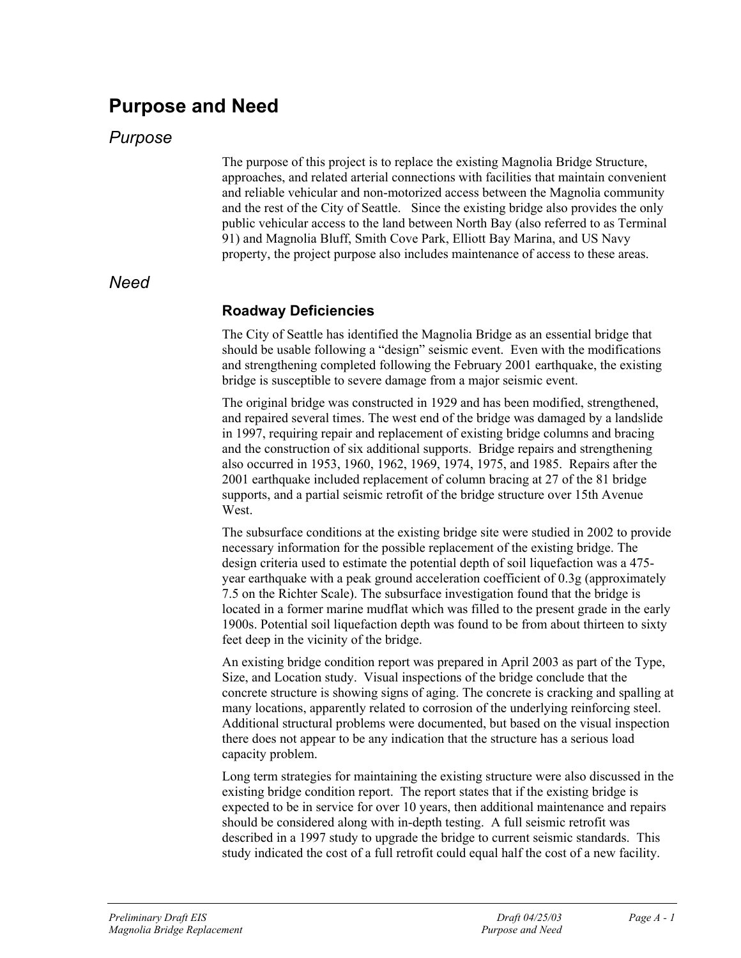# **Purpose and Need**

## *Purpose*

The purpose of this project is to replace the existing Magnolia Bridge Structure, approaches, and related arterial connections with facilities that maintain convenient and reliable vehicular and non-motorized access between the Magnolia community and the rest of the City of Seattle. Since the existing bridge also provides the only public vehicular access to the land between North Bay (also referred to as Terminal 91) and Magnolia Bluff, Smith Cove Park, Elliott Bay Marina, and US Navy property, the project purpose also includes maintenance of access to these areas.

#### *Need*

#### **Roadway Deficiencies**

The City of Seattle has identified the Magnolia Bridge as an essential bridge that should be usable following a "design" seismic event. Even with the modifications and strengthening completed following the February 2001 earthquake, the existing bridge is susceptible to severe damage from a major seismic event.

The original bridge was constructed in 1929 and has been modified, strengthened, and repaired several times. The west end of the bridge was damaged by a landslide in 1997, requiring repair and replacement of existing bridge columns and bracing and the construction of six additional supports. Bridge repairs and strengthening also occurred in 1953, 1960, 1962, 1969, 1974, 1975, and 1985. Repairs after the 2001 earthquake included replacement of column bracing at 27 of the 81 bridge supports, and a partial seismic retrofit of the bridge structure over 15th Avenue West.

The subsurface conditions at the existing bridge site were studied in 2002 to provide necessary information for the possible replacement of the existing bridge. The design criteria used to estimate the potential depth of soil liquefaction was a 475 year earthquake with a peak ground acceleration coefficient of 0.3g (approximately 7.5 on the Richter Scale). The subsurface investigation found that the bridge is located in a former marine mudflat which was filled to the present grade in the early 1900s. Potential soil liquefaction depth was found to be from about thirteen to sixty feet deep in the vicinity of the bridge.

An existing bridge condition report was prepared in April 2003 as part of the Type, Size, and Location study. Visual inspections of the bridge conclude that the concrete structure is showing signs of aging. The concrete is cracking and spalling at many locations, apparently related to corrosion of the underlying reinforcing steel. Additional structural problems were documented, but based on the visual inspection there does not appear to be any indication that the structure has a serious load capacity problem.

Long term strategies for maintaining the existing structure were also discussed in the existing bridge condition report. The report states that if the existing bridge is expected to be in service for over 10 years, then additional maintenance and repairs should be considered along with in-depth testing. A full seismic retrofit was described in a 1997 study to upgrade the bridge to current seismic standards. This study indicated the cost of a full retrofit could equal half the cost of a new facility.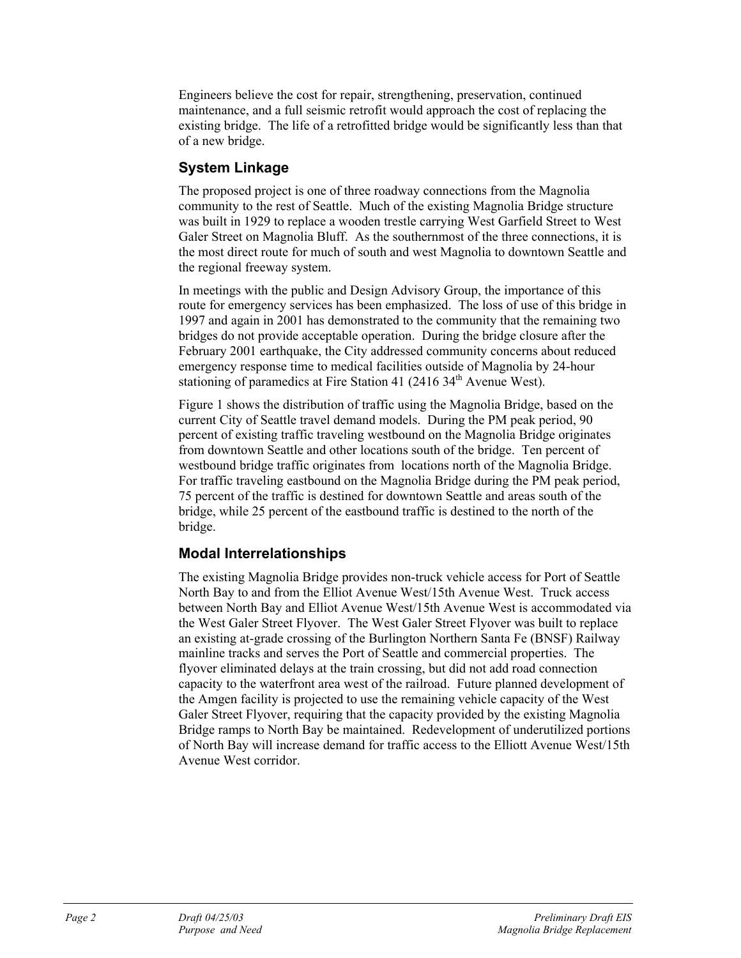Engineers believe the cost for repair, strengthening, preservation, continued maintenance, and a full seismic retrofit would approach the cost of replacing the existing bridge. The life of a retrofitted bridge would be significantly less than that of a new bridge.

#### **System Linkage**

The proposed project is one of three roadway connections from the Magnolia community to the rest of Seattle. Much of the existing Magnolia Bridge structure was built in 1929 to replace a wooden trestle carrying West Garfield Street to West Galer Street on Magnolia Bluff. As the southernmost of the three connections, it is the most direct route for much of south and west Magnolia to downtown Seattle and the regional freeway system.

In meetings with the public and Design Advisory Group, the importance of this route for emergency services has been emphasized. The loss of use of this bridge in 1997 and again in 2001 has demonstrated to the community that the remaining two bridges do not provide acceptable operation. During the bridge closure after the February 2001 earthquake, the City addressed community concerns about reduced emergency response time to medical facilities outside of Magnolia by 24-hour stationing of paramedics at Fire Station 41 (2416 34<sup>th</sup> Avenue West).

Figure 1 shows the distribution of traffic using the Magnolia Bridge, based on the current City of Seattle travel demand models. During the PM peak period, 90 percent of existing traffic traveling westbound on the Magnolia Bridge originates from downtown Seattle and other locations south of the bridge. Ten percent of westbound bridge traffic originates from locations north of the Magnolia Bridge. For traffic traveling eastbound on the Magnolia Bridge during the PM peak period, 75 percent of the traffic is destined for downtown Seattle and areas south of the bridge, while 25 percent of the eastbound traffic is destined to the north of the bridge.

#### **Modal Interrelationships**

The existing Magnolia Bridge provides non-truck vehicle access for Port of Seattle North Bay to and from the Elliot Avenue West/15th Avenue West. Truck access between North Bay and Elliot Avenue West/15th Avenue West is accommodated via the West Galer Street Flyover. The West Galer Street Flyover was built to replace an existing at-grade crossing of the Burlington Northern Santa Fe (BNSF) Railway mainline tracks and serves the Port of Seattle and commercial properties. The flyover eliminated delays at the train crossing, but did not add road connection capacity to the waterfront area west of the railroad. Future planned development of the Amgen facility is projected to use the remaining vehicle capacity of the West Galer Street Flyover, requiring that the capacity provided by the existing Magnolia Bridge ramps to North Bay be maintained. Redevelopment of underutilized portions of North Bay will increase demand for traffic access to the Elliott Avenue West/15th Avenue West corridor.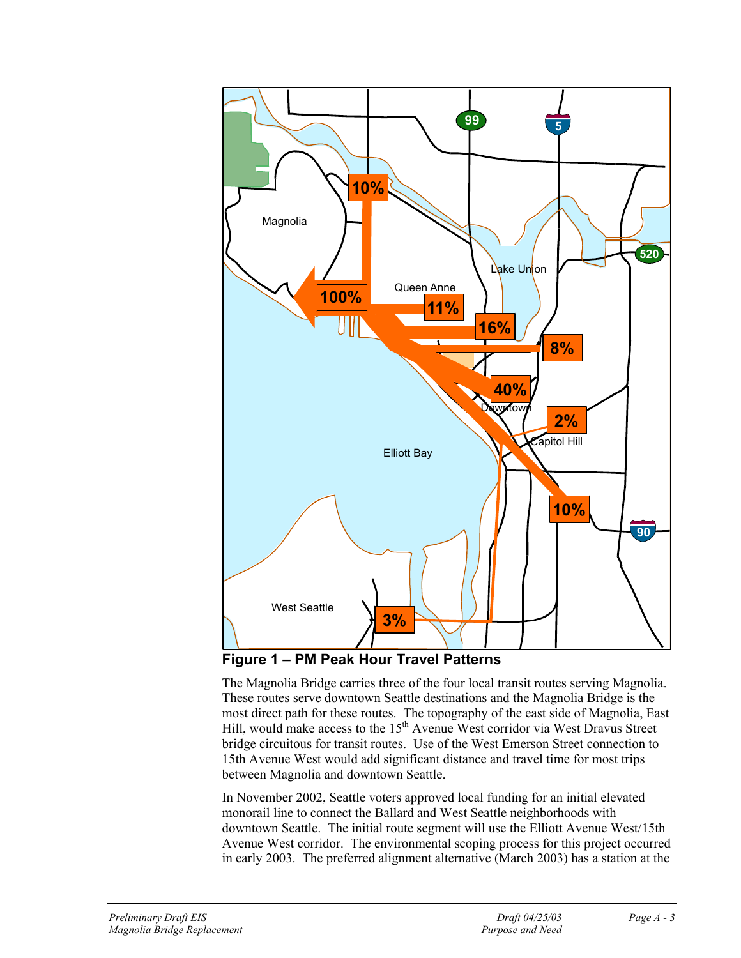

**Figure 1 – PM Peak Hour Travel Patterns** 

The Magnolia Bridge carries three of the four local transit routes serving Magnolia. These routes serve downtown Seattle destinations and the Magnolia Bridge is the most direct path for these routes. The topography of the east side of Magnolia, East Hill, would make access to the 15th Avenue West corridor via West Dravus Street bridge circuitous for transit routes. Use of the West Emerson Street connection to 15th Avenue West would add significant distance and travel time for most trips between Magnolia and downtown Seattle.

In November 2002, Seattle voters approved local funding for an initial elevated monorail line to connect the Ballard and West Seattle neighborhoods with downtown Seattle. The initial route segment will use the Elliott Avenue West/15th Avenue West corridor. The environmental scoping process for this project occurred in early 2003. The preferred alignment alternative (March 2003) has a station at the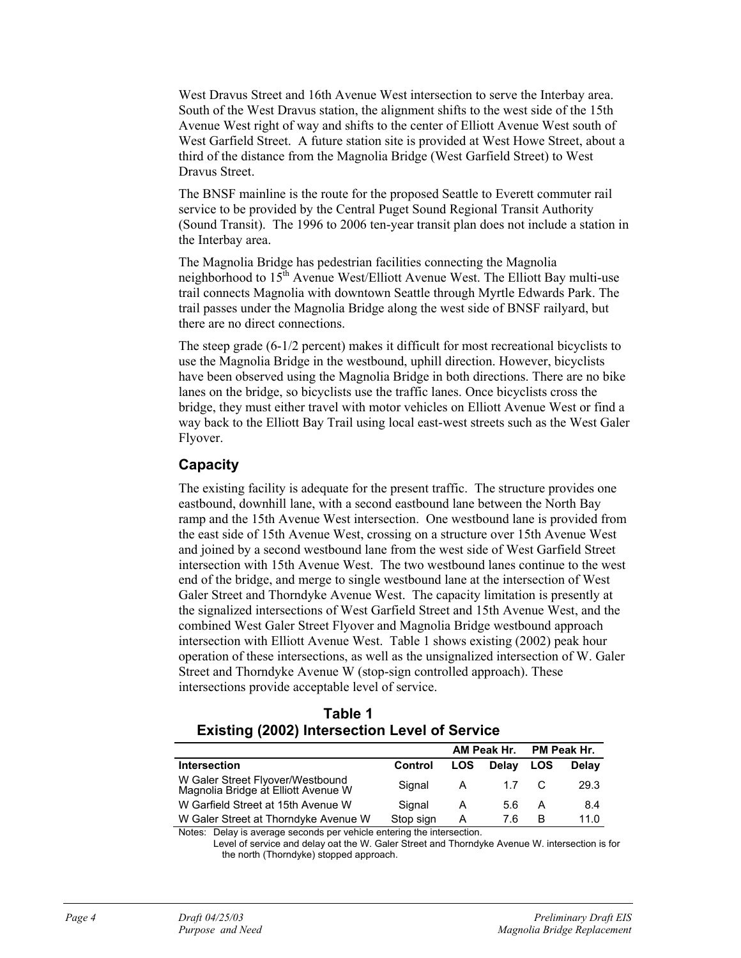West Dravus Street and 16th Avenue West intersection to serve the Interbay area. South of the West Dravus station, the alignment shifts to the west side of the 15th Avenue West right of way and shifts to the center of Elliott Avenue West south of West Garfield Street. A future station site is provided at West Howe Street, about a third of the distance from the Magnolia Bridge (West Garfield Street) to West Dravus Street.

The BNSF mainline is the route for the proposed Seattle to Everett commuter rail service to be provided by the Central Puget Sound Regional Transit Authority (Sound Transit). The 1996 to 2006 ten-year transit plan does not include a station in the Interbay area.

The Magnolia Bridge has pedestrian facilities connecting the Magnolia neighborhood to  $15<sup>th</sup>$  Avenue West/Elliott Avenue West. The Elliott Bay multi-use trail connects Magnolia with downtown Seattle through Myrtle Edwards Park. The trail passes under the Magnolia Bridge along the west side of BNSF railyard, but there are no direct connections.

The steep grade (6-1/2 percent) makes it difficult for most recreational bicyclists to use the Magnolia Bridge in the westbound, uphill direction. However, bicyclists have been observed using the Magnolia Bridge in both directions. There are no bike lanes on the bridge, so bicyclists use the traffic lanes. Once bicyclists cross the bridge, they must either travel with motor vehicles on Elliott Avenue West or find a way back to the Elliott Bay Trail using local east-west streets such as the West Galer Flyover.

#### **Capacity**

The existing facility is adequate for the present traffic. The structure provides one eastbound, downhill lane, with a second eastbound lane between the North Bay ramp and the 15th Avenue West intersection. One westbound lane is provided from the east side of 15th Avenue West, crossing on a structure over 15th Avenue West and joined by a second westbound lane from the west side of West Garfield Street intersection with 15th Avenue West. The two westbound lanes continue to the west end of the bridge, and merge to single westbound lane at the intersection of West Galer Street and Thorndyke Avenue West. The capacity limitation is presently at the signalized intersections of West Garfield Street and 15th Avenue West, and the combined West Galer Street Flyover and Magnolia Bridge westbound approach intersection with Elliott Avenue West. Table 1 shows existing (2002) peak hour operation of these intersections, as well as the unsignalized intersection of W. Galer Street and Thorndyke Avenue W (stop-sign controlled approach). These intersections provide acceptable level of service.

| Table 1                                              |  |  |  |  |  |  |
|------------------------------------------------------|--|--|--|--|--|--|
| <b>Existing (2002) Intersection Level of Service</b> |  |  |  |  |  |  |

|                                                                         |           | AM Peak Hr. |              | PM Peak Hr. |              |
|-------------------------------------------------------------------------|-----------|-------------|--------------|-------------|--------------|
| <b>Intersection</b>                                                     | Control   | LOS         | <b>Delav</b> | LOS         | <b>Delav</b> |
| W Galer Street Flyover/Westbound<br>Magnolia Bridge at Elliott Avenue W | Signal    | A           | 1.7          |             | 29.3         |
| W Garfield Street at 15th Avenue W                                      | Signal    | А           | 5.6          | А           | 8.4          |
| W Galer Street at Thorndyke Avenue W                                    | Stop sign | А           | 76           | в           | 11.0         |

Notes: Delay is average seconds per vehicle entering the intersection.

 Level of service and delay oat the W. Galer Street and Thorndyke Avenue W. intersection is for the north (Thorndyke) stopped approach.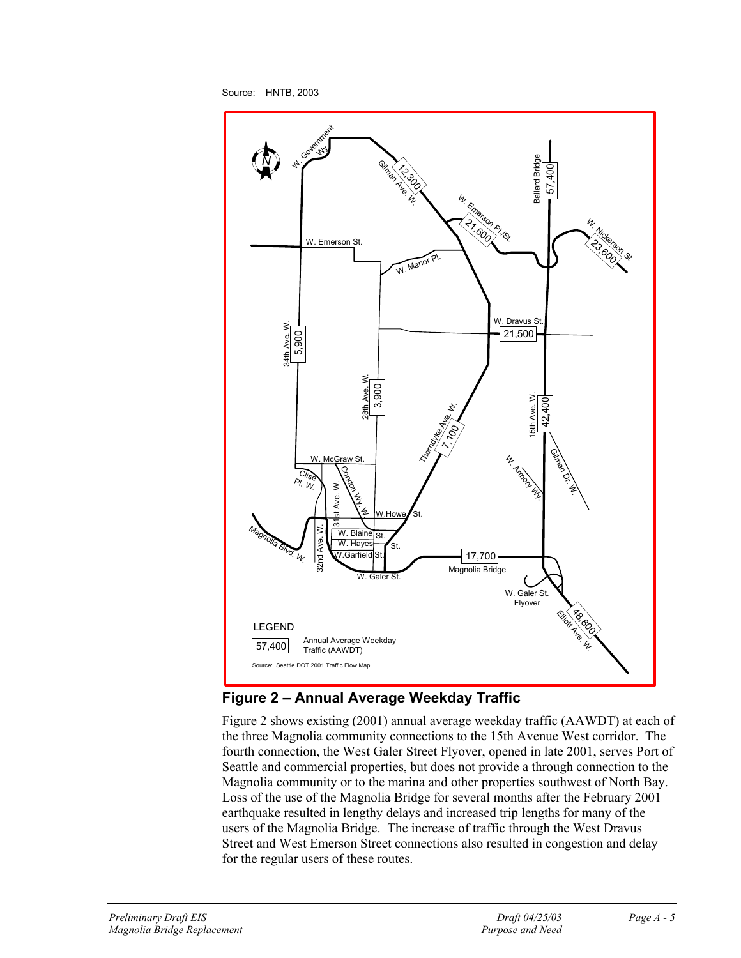Source: HNTB, 2003



## **Figure 2 – Annual Average Weekday Traffic**

Figure 2 shows existing (2001) annual average weekday traffic (AAWDT) at each of the three Magnolia community connections to the 15th Avenue West corridor. The fourth connection, the West Galer Street Flyover, opened in late 2001, serves Port of Seattle and commercial properties, but does not provide a through connection to the Magnolia community or to the marina and other properties southwest of North Bay. Loss of the use of the Magnolia Bridge for several months after the February 2001 earthquake resulted in lengthy delays and increased trip lengths for many of the users of the Magnolia Bridge. The increase of traffic through the West Dravus Street and West Emerson Street connections also resulted in congestion and delay for the regular users of these routes.